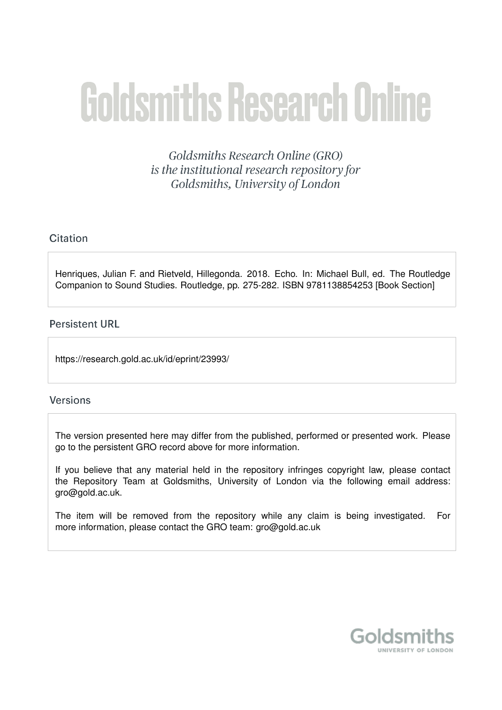# **Goldsmiths Research Online**

Goldsmiths Research Online (GRO) is the institutional research repository for Goldsmiths, University of London

# Citation

Henriques, Julian F. and Rietveld, Hillegonda. 2018. Echo. In: Michael Bull, ed. The Routledge Companion to Sound Studies. Routledge, pp. 275-282. ISBN 9781138854253 [Book Section]

# **Persistent URL**

https://research.gold.ac.uk/id/eprint/23993/

## **Versions**

The version presented here may differ from the published, performed or presented work. Please go to the persistent GRO record above for more information.

If you believe that any material held in the repository infringes copyright law, please contact the Repository Team at Goldsmiths, University of London via the following email address: gro@gold.ac.uk.

The item will be removed from the repository while any claim is being investigated. For more information, please contact the GRO team: gro@gold.ac.uk

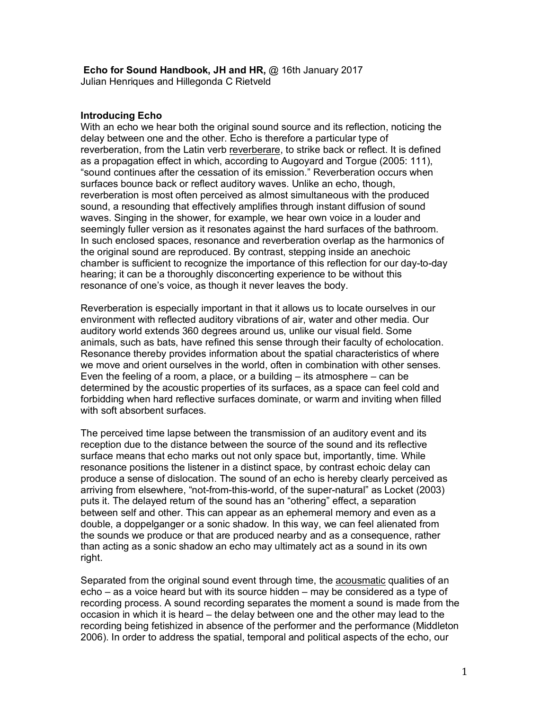### **Echo for Sound Handbook, JH and HR,** @ 16th January 2017 Julian Henriques and Hillegonda C Rietveld

### **Introducing Echo**

With an echo we hear both the original sound source and its reflection, noticing the delay between one and the other. Echo is therefore a particular type of reverberation, from the Latin verb reverberare, to strike back or reflect. It is defined as a propagation effect in which, according to Augoyard and Torgue (2005: 111), "sound continues after the cessation of its emission." Reverberation occurs when surfaces bounce back or reflect auditory waves. Unlike an echo, though, reverberation is most often perceived as almost simultaneous with the produced sound, a resounding that effectively amplifies through instant diffusion of sound waves. Singing in the shower, for example, we hear own voice in a louder and seemingly fuller version as it resonates against the hard surfaces of the bathroom. In such enclosed spaces, resonance and reverberation overlap as the harmonics of the original sound are reproduced. By contrast, stepping inside an anechoic chamber is sufficient to recognize the importance of this reflection for our day-to-day hearing; it can be a thoroughly disconcerting experience to be without this resonance of one's voice, as though it never leaves the body.

Reverberation is especially important in that it allows us to locate ourselves in our environment with reflected auditory vibrations of air, water and other media. Our auditory world extends 360 degrees around us, unlike our visual field. Some animals, such as bats, have refined this sense through their faculty of echolocation. Resonance thereby provides information about the spatial characteristics of where we move and orient ourselves in the world, often in combination with other senses. Even the feeling of a room, a place, or a building  $-$  its atmosphere  $-$  can be determined by the acoustic properties of its surfaces, as a space can feel cold and forbidding when hard reflective surfaces dominate, or warm and inviting when filled with soft absorbent surfaces.

The perceived time lapse between the transmission of an auditory event and its reception due to the distance between the source of the sound and its reflective surface means that echo marks out not only space but, importantly, time. While resonance positions the listener in a distinct space, by contrast echoic delay can produce a sense of dislocation. The sound of an echo is hereby clearly perceived as arriving from elsewhere, "not-from-this-world, of the super-natural" as Locket (2003) puts it. The delayed return of the sound has an "othering" effect, a separation between self and other. This can appear as an ephemeral memory and even as a double, a doppelganger or a sonic shadow. In this way, we can feel alienated from the sounds we produce or that are produced nearby and as a consequence, rather than acting as a sonic shadow an echo may ultimately act as a sound in its own right.

Separated from the original sound event through time, the acousmatic qualities of an echo – as a voice heard but with its source hidden – may be considered as a type of recording process. A sound recording separates the moment a sound is made from the occasion in which it is heard – the delay between one and the other may lead to the recording being fetishized in absence of the performer and the performance (Middleton 2006). In order to address the spatial, temporal and political aspects of the echo, our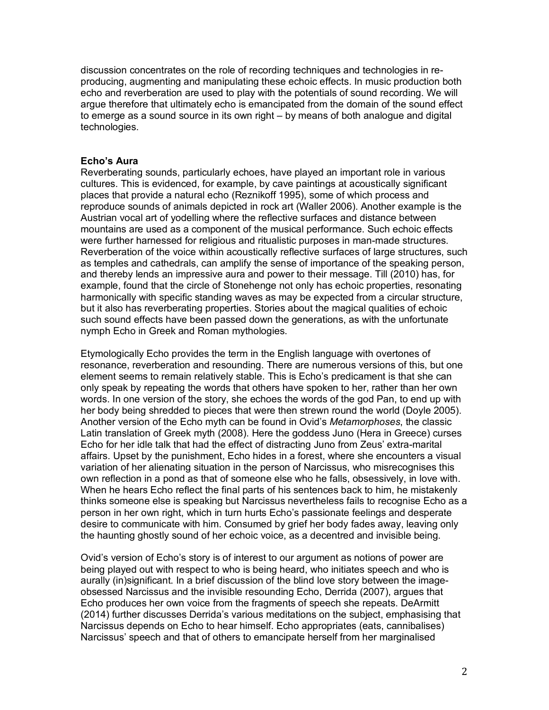discussion concentrates on the role of recording techniques and technologies in reproducing, augmenting and manipulating these echoic effects. In music production both echo and reverberation are used to play with the potentials of sound recording. We will argue therefore that ultimately echo is emancipated from the domain of the sound effect to emerge as a sound source in its own right – by means of both analogue and digital technologies.

### **Echo's Aura**

Reverberating sounds, particularly echoes, have played an important role in various cultures. This is evidenced, for example, by cave paintings at acoustically significant places that provide a natural echo (Reznikoff 1995), some of which process and reproduce sounds of animals depicted in rock art (Waller 2006). Another example is the Austrian vocal art of yodelling where the reflective surfaces and distance between mountains are used as a component of the musical performance. Such echoic effects were further harnessed for religious and ritualistic purposes in man-made structures. Reverberation of the voice within acoustically reflective surfaces of large structures, such as temples and cathedrals, can amplify the sense of importance of the speaking person, and thereby lends an impressive aura and power to their message. Till (2010) has, for example, found that the circle of Stonehenge not only has echoic properties, resonating harmonically with specific standing waves as may be expected from a circular structure, but it also has reverberating properties. Stories about the magical qualities of echoic such sound effects have been passed down the generations, as with the unfortunate nymph Echo in Greek and Roman mythologies.

Etymologically Echo provides the term in the English language with overtones of resonance, reverberation and resounding. There are numerous versions of this, but one element seems to remain relatively stable. This is Echo's predicament is that she can only speak by repeating the words that others have spoken to her, rather than her own words. In one version of the story, she echoes the words of the god Pan, to end up with her body being shredded to pieces that were then strewn round the world (Doyle 2005). Another version of the Echo myth can be found in Ovid's *Metamorphoses*, the classic Latin translation of Greek myth (2008). Here the goddess Juno (Hera in Greece) curses Echo for her idle talk that had the effect of distracting Juno from Zeus' extra-marital affairs. Upset by the punishment, Echo hides in a forest, where she encounters a visual variation of her alienating situation in the person of Narcissus, who misrecognises this own reflection in a pond as that of someone else who he falls, obsessively, in love with. When he hears Echo reflect the final parts of his sentences back to him, he mistakenly thinks someone else is speaking but Narcissus nevertheless fails to recognise Echo as a person in her own right, which in turn hurts Echo's passionate feelings and desperate desire to communicate with him. Consumed by grief her body fades away, leaving only the haunting ghostly sound of her echoic voice, as a decentred and invisible being.

Ovid's version of Echo's story is of interest to our argument as notions of power are being played out with respect to who is being heard, who initiates speech and who is aurally (in)significant. In a brief discussion of the blind love story between the imageobsessed Narcissus and the invisible resounding Echo, Derrida (2007), argues that Echo produces her own voice from the fragments of speech she repeats. DeArmitt (2014) further discusses Derrida's various meditations on the subject, emphasising that Narcissus depends on Echo to hear himself. Echo appropriates (eats, cannibalises) Narcissus' speech and that of others to emancipate herself from her marginalised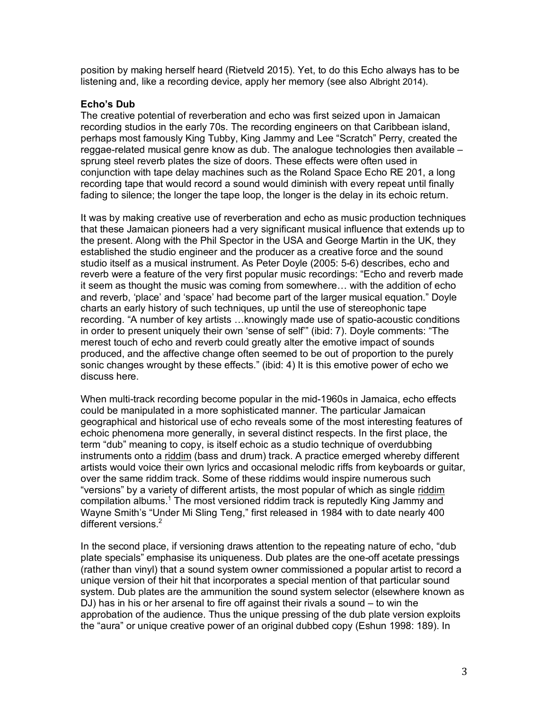position by making herself heard (Rietveld 2015). Yet, to do this Echo always has to be listening and, like a recording device, apply her memory (see also Albright 2014).

### **Echo's Dub**

The creative potential of reverberation and echo was first seized upon in Jamaican recording studios in the early 70s. The recording engineers on that Caribbean island, perhaps most famously King Tubby, King Jammy and Lee "Scratch" Perry, created the reggae-related musical genre know as dub. The analogue technologies then available – sprung steel reverb plates the size of doors. These effects were often used in conjunction with tape delay machines such as the Roland Space Echo RE 201, a long recording tape that would record a sound would diminish with every repeat until finally fading to silence; the longer the tape loop, the longer is the delay in its echoic return.

It was by making creative use of reverberation and echo as music production techniques that these Jamaican pioneers had a very significant musical influence that extends up to the present. Along with the Phil Spector in the USA and George Martin in the UK, they established the studio engineer and the producer as a creative force and the sound studio itself as a musical instrument. As Peter Doyle (2005: 5-6) describes, echo and reverb were a feature of the very first popular music recordings: "Echo and reverb made it seem as thought the music was coming from somewhere… with the addition of echo and reverb, 'place' and 'space' had become part of the larger musical equation." Doyle charts an early history of such techniques, up until the use of stereophonic tape recording. "A number of key artists …knowingly made use of spatio-acoustic conditions in order to present uniquely their own 'sense of self'" (ibid: 7). Doyle comments: "The merest touch of echo and reverb could greatly alter the emotive impact of sounds produced, and the affective change often seemed to be out of proportion to the purely sonic changes wrought by these effects." (ibid: 4) It is this emotive power of echo we discuss here.

When multi-track recording become popular in the mid-1960s in Jamaica, echo effects could be manipulated in a more sophisticated manner. The particular Jamaican geographical and historical use of echo reveals some of the most interesting features of echoic phenomena more generally, in several distinct respects. In the first place, the term "dub" meaning to copy, is itself echoic as a studio technique of overdubbing instruments onto a riddim (bass and drum) track. A practice emerged whereby different artists would voice their own lyrics and occasional melodic riffs from keyboards or guitar, over the same riddim track. Some of these riddims would inspire numerous such "versions" by a variety of different artists, the most popular of which as single riddim compilation albums.<sup>1</sup> The most versioned riddim track is reputedly King Jammy and Wayne Smith's "Under Mi Sling Teng," first released in 1984 with to date nearly 400 different versions. $2$ 

In the second place, if versioning draws attention to the repeating nature of echo, "dub plate specials" emphasise its uniqueness. Dub plates are the one-off acetate pressings (rather than vinyl) that a sound system owner commissioned a popular artist to record a unique version of their hit that incorporates a special mention of that particular sound system. Dub plates are the ammunition the sound system selector (elsewhere known as DJ) has in his or her arsenal to fire off against their rivals a sound – to win the approbation of the audience. Thus the unique pressing of the dub plate version exploits the "aura" or unique creative power of an original dubbed copy (Eshun 1998: 189). In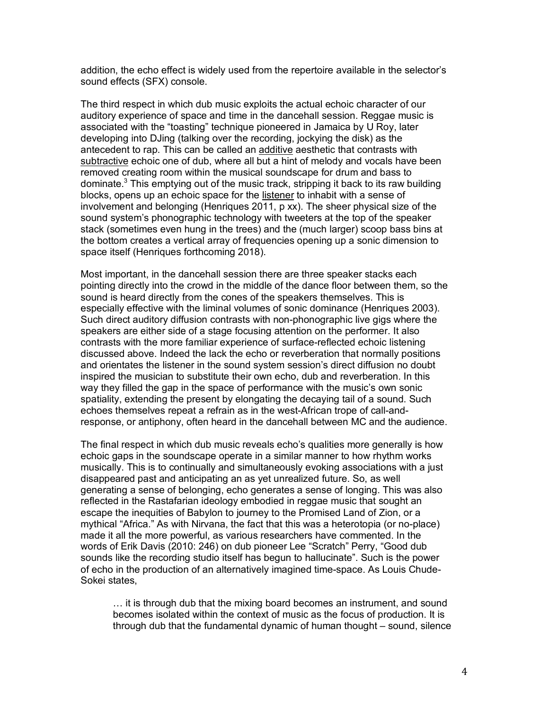addition, the echo effect is widely used from the repertoire available in the selector's sound effects (SFX) console.

The third respect in which dub music exploits the actual echoic character of our auditory experience of space and time in the dancehall session. Reggae music is associated with the "toasting" technique pioneered in Jamaica by U Roy, later developing into DJing (talking over the recording, jockying the disk) as the antecedent to rap. This can be called an additive aesthetic that contrasts with subtractive echoic one of dub, where all but a hint of melody and vocals have been removed creating room within the musical soundscape for drum and bass to dominate.<sup>3</sup> This emptying out of the music track, stripping it back to its raw building blocks, opens up an echoic space for the listener to inhabit with a sense of involvement and belonging (Henriques 2011, p xx). The sheer physical size of the sound system's phonographic technology with tweeters at the top of the speaker stack (sometimes even hung in the trees) and the (much larger) scoop bass bins at the bottom creates a vertical array of frequencies opening up a sonic dimension to space itself (Henriques forthcoming 2018).

Most important, in the dancehall session there are three speaker stacks each pointing directly into the crowd in the middle of the dance floor between them, so the sound is heard directly from the cones of the speakers themselves. This is especially effective with the liminal volumes of sonic dominance (Henriques 2003). Such direct auditory diffusion contrasts with non-phonographic live gigs where the speakers are either side of a stage focusing attention on the performer. It also contrasts with the more familiar experience of surface-reflected echoic listening discussed above. Indeed the lack the echo or reverberation that normally positions and orientates the listener in the sound system session's direct diffusion no doubt inspired the musician to substitute their own echo, dub and reverberation. In this way they filled the gap in the space of performance with the music's own sonic spatiality, extending the present by elongating the decaying tail of a sound. Such echoes themselves repeat a refrain as in the west-African trope of call-andresponse, or antiphony, often heard in the dancehall between MC and the audience.

The final respect in which dub music reveals echo's qualities more generally is how echoic gaps in the soundscape operate in a similar manner to how rhythm works musically. This is to continually and simultaneously evoking associations with a just disappeared past and anticipating an as yet unrealized future. So, as well generating a sense of belonging, echo generates a sense of longing. This was also reflected in the Rastafarian ideology embodied in reggae music that sought an escape the inequities of Babylon to journey to the Promised Land of Zion, or a mythical "Africa." As with Nirvana, the fact that this was a heterotopia (or no-place) made it all the more powerful, as various researchers have commented. In the words of Erik Davis (2010: 246) on dub pioneer Lee "Scratch" Perry, "Good dub sounds like the recording studio itself has begun to hallucinate". Such is the power of echo in the production of an alternatively imagined time-space. As Louis Chude-Sokei states,

… it is through dub that the mixing board becomes an instrument, and sound becomes isolated within the context of music as the focus of production. It is through dub that the fundamental dynamic of human thought – sound, silence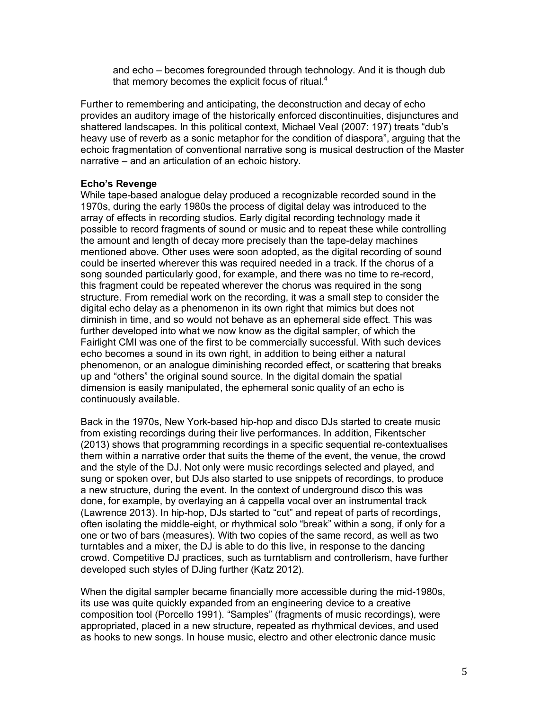and echo – becomes foregrounded through technology. And it is though dub that memory becomes the explicit focus of ritual.<sup>4</sup>

Further to remembering and anticipating, the deconstruction and decay of echo provides an auditory image of the historically enforced discontinuities, disjunctures and shattered landscapes. In this political context, Michael Veal (2007: 197) treats "dub's heavy use of reverb as a sonic metaphor for the condition of diaspora", arguing that the echoic fragmentation of conventional narrative song is musical destruction of the Master narrative – and an articulation of an echoic history.

### **Echo's Revenge**

While tape-based analogue delay produced a recognizable recorded sound in the 1970s, during the early 1980s the process of digital delay was introduced to the array of effects in recording studios. Early digital recording technology made it possible to record fragments of sound or music and to repeat these while controlling the amount and length of decay more precisely than the tape-delay machines mentioned above. Other uses were soon adopted, as the digital recording of sound could be inserted wherever this was required needed in a track. If the chorus of a song sounded particularly good, for example, and there was no time to re-record, this fragment could be repeated wherever the chorus was required in the song structure. From remedial work on the recording, it was a small step to consider the digital echo delay as a phenomenon in its own right that mimics but does not diminish in time, and so would not behave as an ephemeral side effect. This was further developed into what we now know as the digital sampler, of which the Fairlight CMI was one of the first to be commercially successful. With such devices echo becomes a sound in its own right, in addition to being either a natural phenomenon, or an analogue diminishing recorded effect, or scattering that breaks up and "others" the original sound source. In the digital domain the spatial dimension is easily manipulated, the ephemeral sonic quality of an echo is continuously available.

Back in the 1970s, New York-based hip-hop and disco DJs started to create music from existing recordings during their live performances. In addition, Fikentscher (2013) shows that programming recordings in a specific sequential re-contextualises them within a narrative order that suits the theme of the event, the venue, the crowd and the style of the DJ. Not only were music recordings selected and played, and sung or spoken over, but DJs also started to use snippets of recordings, to produce a new structure, during the event. In the context of underground disco this was done, for example, by overlaying an á cappella vocal over an instrumental track (Lawrence 2013). In hip-hop, DJs started to "cut" and repeat of parts of recordings, often isolating the middle-eight, or rhythmical solo "break" within a song, if only for a one or two of bars (measures). With two copies of the same record, as well as two turntables and a mixer, the DJ is able to do this live, in response to the dancing crowd. Competitive DJ practices, such as turntablism and controllerism, have further developed such styles of DJing further (Katz 2012).

When the digital sampler became financially more accessible during the mid-1980s, its use was quite quickly expanded from an engineering device to a creative composition tool (Porcello 1991). "Samples" (fragments of music recordings), were appropriated, placed in a new structure, repeated as rhythmical devices, and used as hooks to new songs. In house music, electro and other electronic dance music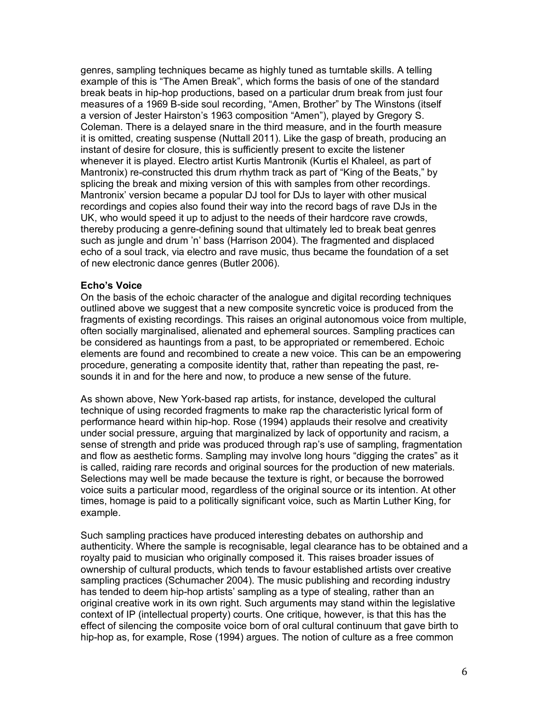genres, sampling techniques became as highly tuned as turntable skills. A telling example of this is "The Amen Break", which forms the basis of one of the standard break beats in hip-hop productions, based on a particular drum break from just four measures of a 1969 B-side soul recording, "Amen, Brother" by The Winstons (itself a version of Jester Hairston's 1963 composition "Amen"), played by Gregory S. Coleman. There is a delayed snare in the third measure, and in the fourth measure it is omitted, creating suspense (Nuttall 2011). Like the gasp of breath, producing an instant of desire for closure, this is sufficiently present to excite the listener whenever it is played. Electro artist Kurtis Mantronik (Kurtis el Khaleel, as part of Mantronix) re-constructed this drum rhythm track as part of "King of the Beats," by splicing the break and mixing version of this with samples from other recordings. Mantronix' version became a popular DJ tool for DJs to layer with other musical recordings and copies also found their way into the record bags of rave DJs in the UK, who would speed it up to adjust to the needs of their hardcore rave crowds, thereby producing a genre-defining sound that ultimately led to break beat genres such as jungle and drum 'n' bass (Harrison 2004). The fragmented and displaced echo of a soul track, via electro and rave music, thus became the foundation of a set of new electronic dance genres (Butler 2006).

### **Echo's Voice**

On the basis of the echoic character of the analogue and digital recording techniques outlined above we suggest that a new composite syncretic voice is produced from the fragments of existing recordings. This raises an original autonomous voice from multiple, often socially marginalised, alienated and ephemeral sources. Sampling practices can be considered as hauntings from a past, to be appropriated or remembered. Echoic elements are found and recombined to create a new voice. This can be an empowering procedure, generating a composite identity that, rather than repeating the past, resounds it in and for the here and now, to produce a new sense of the future.

As shown above, New York-based rap artists, for instance, developed the cultural technique of using recorded fragments to make rap the characteristic lyrical form of performance heard within hip-hop. Rose (1994) applauds their resolve and creativity under social pressure, arguing that marginalized by lack of opportunity and racism, a sense of strength and pride was produced through rap's use of sampling, fragmentation and flow as aesthetic forms. Sampling may involve long hours "digging the crates" as it is called, raiding rare records and original sources for the production of new materials. Selections may well be made because the texture is right, or because the borrowed voice suits a particular mood, regardless of the original source or its intention. At other times, homage is paid to a politically significant voice, such as Martin Luther King, for example.

Such sampling practices have produced interesting debates on authorship and authenticity. Where the sample is recognisable, legal clearance has to be obtained and a royalty paid to musician who originally composed it. This raises broader issues of ownership of cultural products, which tends to favour established artists over creative sampling practices (Schumacher 2004). The music publishing and recording industry has tended to deem hip-hop artists' sampling as a type of stealing, rather than an original creative work in its own right. Such arguments may stand within the legislative context of IP (intellectual property) courts. One critique, however, is that this has the effect of silencing the composite voice born of oral cultural continuum that gave birth to hip-hop as, for example, Rose (1994) argues. The notion of culture as a free common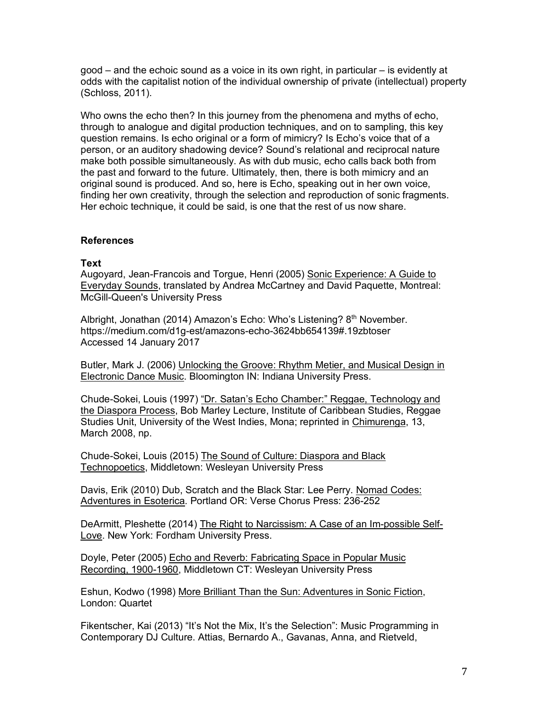good – and the echoic sound as a voice in its own right, in particular – is evidently at odds with the capitalist notion of the individual ownership of private (intellectual) property (Schloss, 2011).

Who owns the echo then? In this journey from the phenomena and myths of echo, through to analogue and digital production techniques, and on to sampling, this key question remains. Is echo original or a form of mimicry? Is Echo's voice that of a person, or an auditory shadowing device? Sound's relational and reciprocal nature make both possible simultaneously. As with dub music, echo calls back both from the past and forward to the future. Ultimately, then, there is both mimicry and an original sound is produced. And so, here is Echo, speaking out in her own voice, finding her own creativity, through the selection and reproduction of sonic fragments. Her echoic technique, it could be said, is one that the rest of us now share.

### **References**

### **Text**

Augoyard, Jean-Francois and Torgue, Henri (2005) Sonic Experience: A Guide to Everyday Sounds, translated by Andrea McCartney and David Paquette, Montreal: McGill-Queen's University Press

Albright, Jonathan (2014) Amazon's Echo: Who's Listening? 8<sup>th</sup> November. https://medium.com/d1g-est/amazons-echo-3624bb654139#.19zbtoser Accessed 14 January 2017

Butler, Mark J. (2006) Unlocking the Groove: Rhythm Metier, and Musical Design in Electronic Dance Music. Bloomington IN: Indiana University Press.

Chude-Sokei, Louis (1997) "Dr. Satan's Echo Chamber:" Reggae, Technology and the Diaspora Process, Bob Marley Lecture, Institute of Caribbean Studies, Reggae Studies Unit, University of the West Indies, Mona; reprinted in Chimurenga, 13, March 2008, np.

Chude-Sokei, Louis (2015) The Sound of Culture: Diaspora and Black Technopoetics, Middletown: Wesleyan University Press

Davis, Erik (2010) Dub, Scratch and the Black Star: Lee Perry. Nomad Codes: Adventures in Esoterica*.* Portland OR: Verse Chorus Press: 236-252

DeArmitt, Pleshette (2014) The Right to Narcissism: A Case of an Im-possible Self-Love. New York: Fordham University Press.

Doyle, Peter (2005) Echo and Reverb: Fabricating Space in Popular Music Recording, 1900-1960, Middletown CT: Wesleyan University Press

Eshun, Kodwo (1998) More Brilliant Than the Sun: Adventures in Sonic Fiction, London: Quartet

Fikentscher, Kai (2013) "It's Not the Mix, It's the Selection": Music Programming in Contemporary DJ Culture. Attias, Bernardo A., Gavanas, Anna, and Rietveld,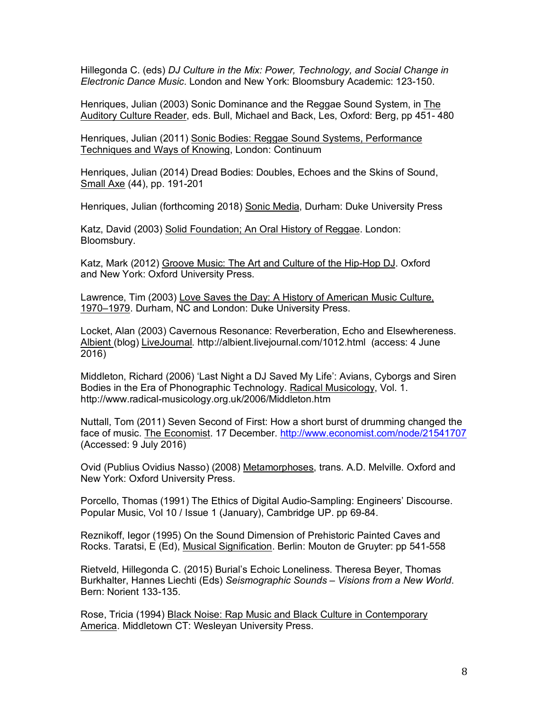Hillegonda C. (eds) *DJ Culture in the Mix: Power, Technology, and Social Change in Electronic Dance Music*. London and New York: Bloomsbury Academic: 123-150.

Henriques, Julian (2003) Sonic Dominance and the Reggae Sound System, in The Auditory Culture Reader, eds. Bull, Michael and Back, Les, Oxford: Berg, pp 451- 480

Henriques, Julian (2011) Sonic Bodies: Reggae Sound Systems, Performance Techniques and Ways of Knowing, London: Continuum

Henriques, Julian (2014) Dread Bodies: Doubles, Echoes and the Skins of Sound, Small Axe (44), pp. 191-201

Henriques, Julian (forthcoming 2018) Sonic Media, Durham: Duke University Press

Katz, David (2003) Solid Foundation; An Oral History of Reggae. London: Bloomsbury.

Katz, Mark (2012) Groove Music: The Art and Culture of the Hip-Hop DJ. Oxford and New York: Oxford University Press.

Lawrence, Tim (2003) Love Saves the Day: A History of American Music Culture, 1970–1979. Durham, NC and London: Duke University Press.

Locket, Alan (2003) Cavernous Resonance: Reverberation, Echo and Elsewhereness. Albient (blog) LiveJournal*.* http://albient.livejournal.com/1012.html (access: 4 June 2016)

Middleton, Richard (2006) 'Last Night a DJ Saved My Life': Avians, Cyborgs and Siren Bodies in the Era of Phonographic Technology. Radical Musicology, Vol. 1. http://www.radical-musicology.org.uk/2006/Middleton.htm

Nuttall, Tom (2011) Seven Second of First: How a short burst of drumming changed the face of music. The Economist. 17 December. http://www.economist.com/node/21541707 (Accessed: 9 July 2016)

Ovid (Publius Ovidius Nasso) (2008) Metamorphoses, trans. A.D. Melville. Oxford and New York: Oxford University Press.

Porcello, Thomas (1991) The Ethics of Digital Audio-Sampling: Engineers' Discourse. Popular Music, Vol 10 / Issue 1 (January), Cambridge UP. pp 69-84.

Reznikoff, Iegor (1995) On the Sound Dimension of Prehistoric Painted Caves and Rocks. Taratsi, E (Ed), Musical Signification. Berlin: Mouton de Gruyter: pp 541-558

Rietveld, Hillegonda C. (2015) Burial's Echoic Loneliness. Theresa Beyer, Thomas Burkhalter, Hannes Liechti (Eds) *Seismographic Sounds – Visions from a New World*. Bern: Norient 133-135.

Rose, Tricia (1994) Black Noise: Rap Music and Black Culture in Contemporary America. Middletown CT: Wesleyan University Press.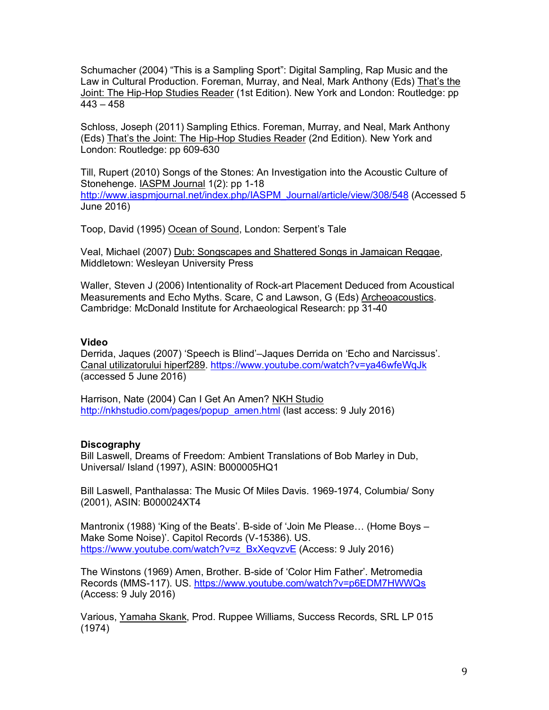Schumacher (2004) "This is a Sampling Sport": Digital Sampling, Rap Music and the Law in Cultural Production. Foreman, Murray, and Neal, Mark Anthony (Eds) That's the Joint: The Hip-Hop Studies Reader (1st Edition). New York and London: Routledge: pp 443 – 458

Schloss, Joseph (2011) Sampling Ethics. Foreman, Murray, and Neal, Mark Anthony (Eds) That's the Joint: The Hip-Hop Studies Reader (2nd Edition). New York and London: Routledge: pp 609-630

Till, Rupert (2010) Songs of the Stones: An Investigation into the Acoustic Culture of Stonehenge. IASPM Journal 1(2): pp 1-18 http://www.iaspmjournal.net/index.php/IASPM\_Journal/article/view/308/548 (Accessed 5 June 2016)

Toop, David (1995) Ocean of Sound, London: Serpent's Tale

Veal, Michael (2007) Dub: Songscapes and Shattered Songs in Jamaican Reggae, Middletown: Wesleyan University Press

Waller, Steven J (2006) Intentionality of Rock-art Placement Deduced from Acoustical Measurements and Echo Myths. Scare, C and Lawson, G (Eds) Archeoacoustics. Cambridge: McDonald Institute for Archaeological Research: pp 31-40

### **Video**

Derrida, Jaques (2007) 'Speech is Blind'–Jaques Derrida on 'Echo and Narcissus'. Canal utilizatorului hiperf289. https://www.youtube.com/watch?v=ya46wfeWqJk (accessed 5 June 2016)

Harrison, Nate (2004) Can I Get An Amen? NKH Studio http://nkhstudio.com/pages/popup\_amen.html (last access: 9 July 2016)

## **Discography**

Bill Laswell, Dreams of Freedom: Ambient Translations of Bob Marley in Dub, Universal/ Island (1997), ASIN: B000005HQ1

Bill Laswell, Panthalassa: The Music Of Miles Davis. 1969-1974, Columbia/ Sony (2001), ASIN: B000024XT4

Mantronix (1988) 'King of the Beats'. B-side of 'Join Me Please… (Home Boys – Make Some Noise)'. Capitol Records (V-15386). US. https://www.youtube.com/watch?v=z\_BxXeqvzvE (Access: 9 July 2016)

The Winstons (1969) Amen, Brother. B-side of 'Color Him Father'. Metromedia Records (MMS-117). US. https://www.youtube.com/watch?v=p6EDM7HWWQs (Access: 9 July 2016)

Various, Yamaha Skank, Prod. Ruppee Williams, Success Records, SRL LP 015 (1974)